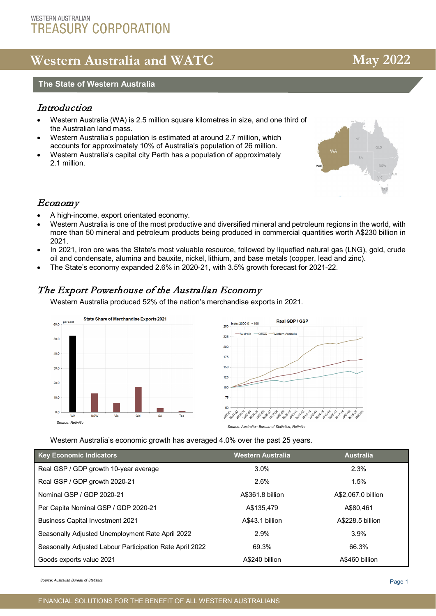## **WESTERN AUSTRALIAN TREASURY CORPORATION**

# **Western Australia and WATC May** 2022

# **The State of Western Australia**<br>————————————————————

## **Introduction**

- Western Australia (WA) is 2.5 million square kilometres in size, and one third of the Australian land mass.
- Western Australia's population is estimated at around 2.7 million, which accounts for approximately 10% of Australia's population of 26 million.
- Western Australia's capital city Perth has a population of approximately 2.1 million.

## Economy

- A high-income, export orientated economy.
- Western Australia is one of the most productive and diversified mineral and petroleum regions in the world, with more than 50 mineral and petroleum products being produced in commercial quantities worth A\$230 billion in 2021.
- In 2021, iron ore was the State's most valuable resource, followed by liquefied natural gas (LNG), gold, crude oil and condensate, alumina and bauxite, nickel, lithium, and base metals (copper, lead and zinc).
- The State's economy expanded 2.6% in 2020-21, with 3.5% growth forecast for 2021-22.

## The Export Powerhouse of the Australian Economy

Western Australia produced 52% of the nation's merchandise exports in 2021.





Western Australia's economic growth has averaged 4.0% over the past 25 years.

| <b>Key Economic Indicators</b>                           | <b>Western Australia</b> | <b>Australia</b>   |
|----------------------------------------------------------|--------------------------|--------------------|
| Real GSP / GDP growth 10-year average                    | $3.0\%$                  | 2.3%               |
| Real GSP / GDP growth 2020-21                            | 2.6%                     | 1.5%               |
| Nominal GSP / GDP 2020-21                                | A\$361.8 billion         | A\$2,067.0 billion |
| Per Capita Nominal GSP / GDP 2020-21                     | A\$135.479               | A\$80.461          |
| <b>Business Capital Investment 2021</b>                  | A\$43.1 billion          | A\$228.5 billion   |
| Seasonally Adjusted Unemployment Rate April 2022         | 2.9%                     | 3.9%               |
| Seasonally Adjusted Labour Participation Rate April 2022 | 69.3%                    | 66.3%              |
| Goods exports value 2021                                 | A\$240 billion           | A\$460 billion     |

*Source: Australian Bureau of Statistics*

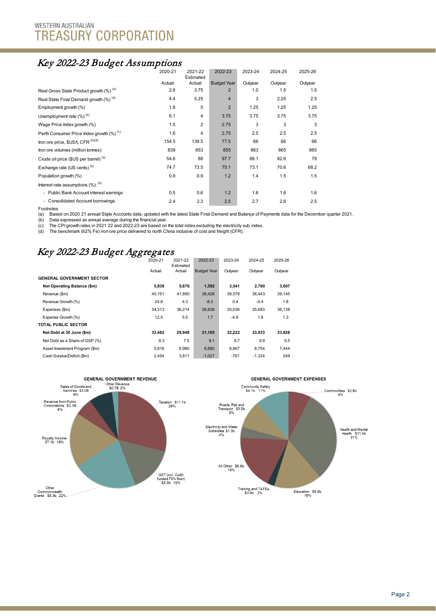# Key 2022-23 Budget Assumptions

|                                                  | 2020-21 | 2021-22<br>Estimated | 2022-23            | 2023-24 | 2024-25 | 2025-26 |  |
|--------------------------------------------------|---------|----------------------|--------------------|---------|---------|---------|--|
|                                                  | Actual  | Actual               | <b>Budget Year</b> | Outyear | Outyear | Outyear |  |
| Real Gross State Product growth (%) (a)          | 2.6     | 3.75                 | $\overline{2}$     | 1.0     | 1.5     | 1.5     |  |
| Real State Final Demand growth (%) (a)           | 4.4     | 5.25                 | $\overline{4}$     | 3       | 2.25    | 2.5     |  |
| Employment growth (%)                            | 1.8     | 5                    | $\overline{2}$     | 1.25    | 1.25    | 1.25    |  |
| Unemployment rate $(\%)^{(b)}$                   | 6.1     | 4                    | 3.75               | 3.75    | 3.75    | 3.75    |  |
| Wage Price Index growth (%)                      | 1.5     | 2                    | 2.75               | 3       | 3       | 3       |  |
| Perth Consumer Price Index growth (%) (c)        | 1.6     | 4                    | 2.75               | 2.5     | 2.5     | 2.5     |  |
| Iron ore price, \$US/t, CFR (b)(d)               | 154.5   | 139.5                | 77.5               | 66      | 66      | 66      |  |
| Iron ore volumes (million tonnes)                | 839     | 853                  | 855                | 863     | 865     | 865     |  |
| Crude oil price (\$US per barrel) <sup>(b)</sup> | 54.6    | 88                   | 97.7               | 88.1    | 82.6    | 79      |  |
| Exchange rate (US cents) <sup>(b)</sup>          | 74.7    | 73.5                 | 75.1               | 73.1    | 70.6    | 68.2    |  |
| Population growth (%)                            | 0.9     | 0.9                  | 1.2                | 1.4     | 1.5     | 1.5     |  |
| Interest rate assumptions $(\%)$ : $(b)$         |         |                      |                    |         |         |         |  |
| - Public Bank Account interest earnings          | 0.5     | 0.6                  | 1.2                | 1.6     | 1.6     | 1.6     |  |
| - Consolidated Account borrowings                | 2.4     | 2.3                  | 2.5                | 2.7     | 2.6     | 2.5     |  |

Footnotes

(a) Based on 2020 21 annual State Accounts data, updated with the latest State Final Demand and Balance of Payments data for the December quarter 2021.<br>(\*) Print account of the State of the State of the State of the State

(a) Basca of 2020 21 annual olgic Accounts data, updated with (b) Data expressed as annual average during the financial year.

(c) The CPI growth rates in 2021 22 and 2022-23 are based on the total index excluding the electricity sub index.

(d) The benchmark (62% Fe) iron ore price delivered to north China inclusive of cost and freight (CFR).

## Key 2022-23 Budget Aggregates

|                                  | 2020-21 | 2021-22<br>Estimated | 2022-23            | 2023-24 | 2024-25  | 2025-26 |
|----------------------------------|---------|----------------------|--------------------|---------|----------|---------|
|                                  | Actual  | Actual               | <b>Budget Year</b> | Outyear | Outvear  | Outyear |
| <b>GENERAL GOVERNMENT SECTOR</b> |         |                      |                    |         |          |         |
| Net Operating Balance (\$m)      | 5,838   | 5,676                | 1,592              | 3,541   | 2,760    | 3,007   |
| Revenue (\$m)                    | 40,151  | 41,890               | 38,428             | 38,578  | 38,443   | 39,145  |
| Revenue Growth (%)               | 24.8    | 4.3                  | $-8.3$             | 0.4     | $-0.4$   | 1.8     |
| Expenses (\$m)                   | 34.313  | 36,214               | 36,836             | 35,036  | 35,683   | 36,138  |
| Expense Growth (%)               | 12.5    | 5.5                  | 1.7                | $-4.9$  | 1.8      | 1.3     |
| <b>TOTAL PUBLIC SECTOR</b>       |         |                      |                    |         |          |         |
| Net Debt at 30 June (\$m)        | 33.482  | 29,949               | 31,105             | 32.222  | 33.933   | 33,928  |
| Net Debt as a Share of GSP (%)   | 9.3     | 7.5                  | 9.1                | 9.7     | 9.9      | 9.5     |
| Asset Investment Program (\$m)   | 5.816   | 6.980                | 8.880              | 8.867   | 8.754    | 7.444   |
| Cash Surplus/Deficit (\$m)       | 2.454   | 3,811                | $-1,027$           | $-761$  | $-1.334$ | 249     |

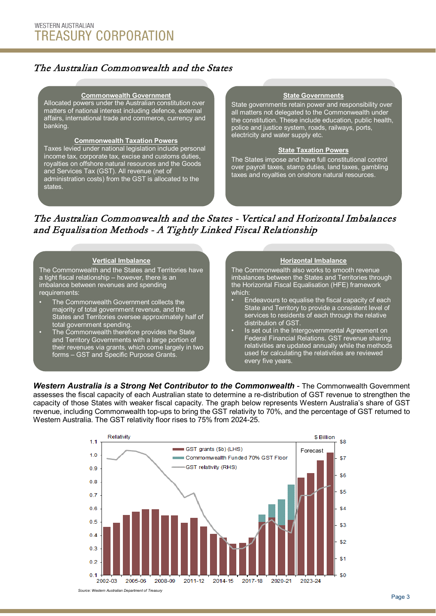## The Australian Commonwealth and the States

#### **Commonwealth Government**

Allocated powers under the Australian constitution over matters of national interest including defence, external affairs, international trade and commerce, currency and banking.

#### **Commonwealth Taxation Powers**

Taxes levied under national legislation include personal income tax, corporate tax, excise and customs duties, royalties on offshore natural resources and the Goods and Services Tax (GST). All revenue (net of administration costs) from the GST is allocated to the states.

#### **State Governments**

State governments retain power and responsibility over all matters not delegated to the Commonwealth under the constitution. These include education, public health, police and justice system, roads, railways, ports, electricity and water supply etc.

#### **State Taxation Powers**

The States impose and have full constitutional control over payroll taxes, stamp duties, land taxes, gambling taxes and royalties on onshore natural resources.

## The Australian Commonwealth and the States - Vertical and Horizontal Imbalances and Equalisation Methods - A Tightly Linked Fiscal Relationship

#### **Vertical Imbalance**

The Commonwealth and the States and Territories have a tight fiscal relationship – however, there is an imbalance between revenues and spending requirements:

- The Commonwealth Government collects the majority of total government revenue, and the States and Territories oversee approximately half of total government spending.
- The Commonwealth therefore provides the State and Territory Governments with a large portion of their revenues via grants, which come largely in two forms – GST and Specific Purpose Grants.

#### **Horizontal Imbalance**

The Commonwealth also works to smooth revenue imbalances between the States and Territories through the Horizontal Fiscal Equalisation (HFE) framework which:

- Endeavours to equalise the fiscal capacity of each State and Territory to provide a consistent level of services to residents of each through the relative distribution of GST.
- Is set out in the Intergovernmental Agreement on Federal Financial Relations. GST revenue sharing relativities are updated annually while the methods used for calculating the relativities are reviewed every five years.

**Western Australia is a Strong Net Contributor to the Commonwealth - The Commonwealth Government** assesses the fiscal capacity of each Australian state to determine a re-distribution of GST revenue to strengthen the capacity of those States with weaker fiscal capacity. The graph below represents Western Australia's share of GST revenue, including Commonwealth top-ups to bring the GST relativity to 70%, and the percentage of GST returned to Western Australia. The GST relativity floor rises to 75% from 2024-25.

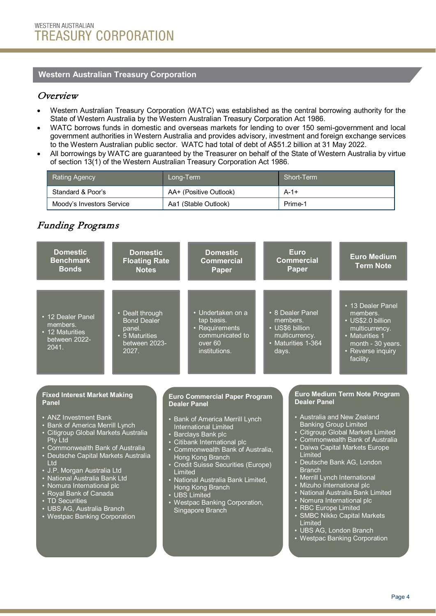### **Western Australian Treasury Corporation**

## Overview

- Western Australian Treasury Corporation (WATC) was established as the central borrowing authority for the State of Western Australia by the Western Australian Treasury Corporation Act 1986.
- WATC borrows funds in domestic and overseas markets for lending to over 150 semi-government and local government authorities in Western Australia and provides advisory, investment and foreign exchange services to the Western Australian public sector. WATC had total of debt of A\$51.2 billion at 31 May 2022.
- All borrowings by WATC are guaranteed by the Treasurer on behalf of the State of Western Australia by virtue of section 13(1) of the Western Australian Treasury Corporation Act 1986.

| <b>Rating Agency</b>      | Long-Term !            | Short-Term |
|---------------------------|------------------------|------------|
| Standard & Poor's         | AA+ (Positive Outlook) | $A - 1 +$  |
| Moody's Investors Service | Aa1 (Stable Outlook)   | Prime-1    |

## Funding Programs

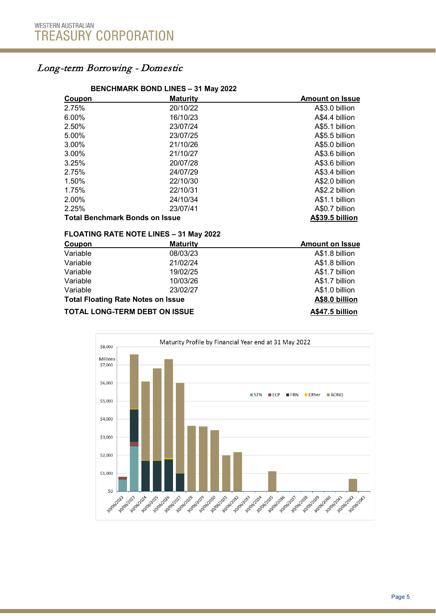## Long-term Borrowing - Domestic

#### **BENCHMARK BOND LINES – 31 May 2022**

| Coupon                                | <b>Maturity</b> | <b>Amount on Issue</b> |
|---------------------------------------|-----------------|------------------------|
| 2.75%                                 | 20/10/22        | A\$3.0 billion         |
| 6.00%                                 | 16/10/23        | A\$4.4 billion         |
| 2.50%                                 | 23/07/24        | A\$5.1 billion         |
| 5.00%                                 | 23/07/25        | A\$5.5 billion         |
| 3.00%                                 | 21/10/26        | A\$5.0 billion         |
| 3.00%                                 | 21/10/27        | A\$3.6 billion         |
| 3.25%                                 | 20/07/28        | A\$3.6 billion         |
| 2.75%                                 | 24/07/29        | A\$3.4 billion         |
| 1.50%                                 | 22/10/30        | A\$2.0 billion         |
| 1.75%                                 | 22/10/31        | A\$2.2 billion         |
| 2.00%                                 | 24/10/34        | A\$1.1 billion         |
| 2.25%                                 | 23/07/41        | A\$0.7 billion         |
| <b>Total Benchmark Bonds on Issue</b> |                 | A\$39.5 billion        |

#### **FLOATING RATE NOTE LINES – 31 May 2022**

| Coupon                                    | <b>Maturity</b> | <b>Amount on Issue</b> |
|-------------------------------------------|-----------------|------------------------|
| Variable                                  | 08/03/23        | A\$1.8 billion         |
| Variable                                  | 21/02/24        | A\$1.8 billion         |
| Variable                                  | 19/02/25        | A\$1.7 billion         |
| Variable                                  | 10/03/26        | A\$1.7 billion         |
| Variable                                  | 23/02/27        | A\$1.0 billion         |
| <b>Total Floating Rate Notes on Issue</b> |                 | A\$8.0 billion         |
| <b>TOTAL LONG-TERM DEBT ON ISSUE</b>      |                 | A\$47.5 billion        |